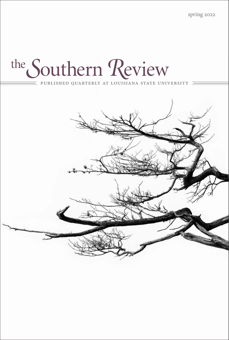spring 2022

## the Southern Review

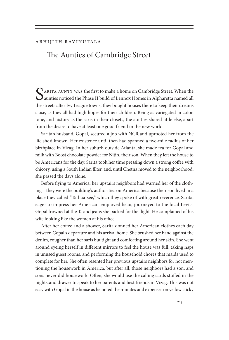## Abhijith Ravinutala

## [The Aunties of Cambridge Street](#page--1-0)

SARITA AUNTY WAS the first to make a home on Cambridge Street. When the aunties noticed the Phase II build of Lennox Homes in Alpharetta named all the streets after Ivy League towns, they bought houses there to keep their dreams close, as they all had high hopes for their children. Being as variegated in color, tone, and history as the saris in their closets, the aunties shared little else, apart from the desire to have at least one good friend in the new world.

Sarita's husband, Gopal, secured a job with NCR and uprooted her from the life she'd known. Her existence until then had spanned a five-mile radius of her birthplace in Vizag. In her suburb outside Atlanta, she made tea for Gopal and milk with Boost chocolate powder for Nitin, their son. When they left the house to be Americans for the day, Sarita took her time pressing down a strong coffee with chicory, using a South Indian filter, and, until Chetna moved to the neighborhood, she passed the days alone.

Before flying to America, her upstairs neighbors had warned her of the clothing—they were the building's authorities on America because their son lived in a place they called "Tall-aa-see," which they spoke of with great reverence. Sarita, eager to impress her American-employed beau, journeyed to the local Levi's. Gopal frowned at the Ts and jeans she packed for the flight. He complained of his wife looking like the women at his office.

After her coffee and a shower, Sarita donned her American clothes each day between Gopal's departure and his arrival home. She brushed her hand against the denim, rougher than her saris but tight and comforting around her skin. She went around eyeing herself in different mirrors to feel the house was full, taking naps in unused guest rooms, and performing the household chores that maids used to complete for her. She often resented her previous upstairs neighbors for not mentioning the housework in America, but after all, those neighbors had a son, and sons never did housework. Often, she would use the calling cards stuffed in the nightstand drawer to speak to her parents and best friends in Vizag. This was not easy with Gopal in the house as he noted the minutes and expenses on yellow sticky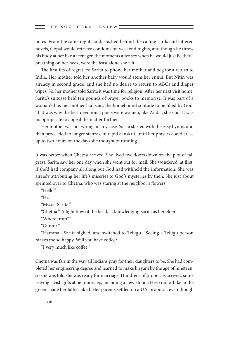notes. From the same nightstand, stashed behind the calling cards and tattered novels, Gopal would retrieve condoms on weekend nights, and though he threw his body at her like a teenager, the moments after sex when he would just lie there, breathing on her neck, were the least alone she felt.

The first fits of regret led Sarita to phone her mother and beg for a return to India. Her mother told her another baby would stem her ennui. But Nitin was already in second grade, and she had no desire to return to ABCs and diaper wipes. So, her mother told Sarita it was time for religion. After her next visit home, Sarita's suitcase held ten pounds of prayer books to memorize. It was part of a woman's life, her mother had said, the homebound solitude to be filled by God. That was why the best devotional poets were women, like Andal, she said. It was inappropriate to appeal the matter further.

Her mother was not wrong, in any case. Sarita started with the easy hymns and then proceeded to longer stanzas, in rapid Sanskrit, until her prayers could erase up to two hours on the days she thought of running.

It was better when Chetna arrived. She lived five doors down on the plot of tall grass. Sarita saw her one day when she went out for mail. She wondered, at first, if she'd had company all along but God had withheld the information. She was already attributing her life's miseries to God's mysteries by then. She just about sprinted over to Chetna, who was staring at the neighbor's flowers.

"Hello."

"Hi $"$ 

"Myself Sarita."

"Chetna." A light bow of the head, acknowledging Sarita as her elder.

"Where from?"

"Guntur."

"Hamma," Sarita sighed, and switched to Telugu. "Seeing a Telugu person makes me so happy. Will you have coffee?"

"I very much like coffee."

Chetna was fair in the way all Indians pray for their daughters to be. She had completed her engineering degree and learned to make biryani by the age of nineteen, so she was told she was ready for marriage. Hundreds of proposals arrived, some leaving lavish gifts at her doorstep, including a new Honda Hero motorbike in the green shade her father liked. Her parents settled on a U.S. proposal, even though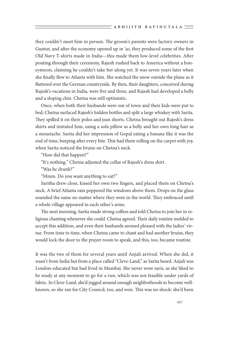they couldn't meet him in person. The groom's parents were factory owners in Guntur, and after the economy opened up in '91, they produced some of the first Old Navy T-shirts made in India—this made them low-level celebrities. After pouting through their ceremony, Rajesh rushed back to America without a honeymoon, claiming he couldn't take her along yet. It was seven years later when she finally flew to Atlanta with him. She watched the snow outside the plane as it fluttered over the German countryside. By then, their daughters, conceived during Rajesh's vacations in India, were five and three, and Rajesh had developed a belly and a sloping chin. Chetna was still optimistic.

Once, when both their husbands were out of town and their kids were put to bed, Chetna surfaced Rajesh's hidden bottles and split a large whiskey with Sarita. They spilled it on their polos and jean shorts. Chetna brought out Rajesh's dress shirts and imitated him, using a sofa pillow as a belly and her own long hair as a moustache. Sarita did her impression of Gopal eating a banana like it was the end of time, burping after every bite. This had them rolling on the carpet with joy, when Sarita noticed the bruise on Chetna's neck.

"How did that happen?"

"It's nothing." Chetna adjusted the collar of Rajesh's dress shirt.

"Was he drunk?"

"Mmm. Do you want anything to eat?"

Saritha drew close, kissed her own two fingers, and placed them on Chetna's neck. A brief Atlanta rain peppered the windows above them. Drops on the glass sounded the same no matter where they were in the world. They embraced until a whole village appeared in each other's arms.

The next morning, Sarita made strong coffees and told Chetna to join her in religious chanting whenever she could. Chetna agreed. Their daily routine molded to accept this addition, and even their husbands seemed pleased with the ladies' virtue. From time to time, when Chetna came to chant and had another bruise, they would lock the door to the prayer room to speak, and this, too, became routine.

It was the two of them for several years until Anjali arrived. When she did, it wasn't from India but from a place called "Cleve-Land," as Sarita heard. Anjali was London-educated but had lived in Mumbai. She never wore saris, as she liked to be ready at any moment to go for a run, which was not feasible under yards of fabric. In Cleve-Land, she'd jogged around enough neighborhoods to become wellknown, so she ran for City Council, too, and won. This was no shock: she'd been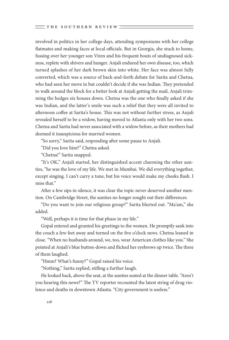involved in politics in her college days, attending symposiums with her college flatmates and making faces at local officials. But in Georgia, she stuck to home, fussing over her younger son Viren and his frequent bouts of undiagnosed sickness, replete with shivers and hunger. Anjali endured her own disease, too, which turned splashes of her dark brown skin into white. Her face was almost fully converted, which was a source of back-and-forth debate for Sarita and Chetna, who had seen her move in but couldn't decide if she was Indian. They pretended to walk around the block for a better look at Anjali getting the mail, Anjali trimming the hedges six houses down. Chetna was the one who finally asked if she was Indian, and the latter's smile was such a relief that they were all invited to afternoon coffee at Sarita's house. This was not without further stress, as Anjali revealed herself to be a widow, having moved to Atlanta only with her two sons. Chetna and Sarita had never associated with a widow before, as their mothers had deemed it inauspicious for married women.

"So sorry," Sarita said, responding after some pause to Anjali.

"Did you love him?" Chetna asked.

"Chetna!" Sarita snapped.

"It's OK," Anjali started, her distinguished accent charming the other aunties, "he was the love of my life. We met in Mumbai. We did everything together, except singing. I can't carry a tune, but his voice would make my cheeks flush. I miss that."

After a few sips in silence, it was clear the topic never deserved another mention. On Cambridge Street, the aunties no longer sought out their differences.

"Do you want to join our religious group?" Sarita blurted out. "Ma'am," she added.

"Well, perhaps it is time for that phase in my life."

Gopal entered and grunted his greetings to the women. He promptly sank into the couch a few feet away and turned on the five o'clock news. Chetna leaned in close. "When no husbands around, we, too, wear American clothes like you." She pointed at Anjali's blue button-down and flicked her eyebrows up twice. The three of them laughed.

"Hmm? What's funny?" Gopal raised his voice.

"Nothing," Sarita replied, stifling a further laugh.

He looked back, above the seat, at the aunties seated at the dinner table. "Aren't you hearing this news?" The TV reporter recounted the latest string of drug violence and deaths in downtown Atlanta. "City government is useless."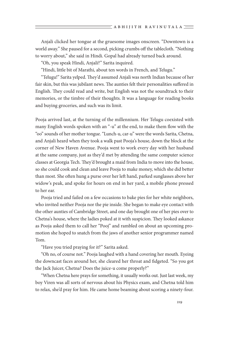Anjali clicked her tongue at the gruesome images onscreen. "Downtown is a world away." She paused for a second, picking crumbs off the tablecloth. "Nothing to worry about," she said in Hindi. Gopal had already turned back around.

"Oh, you speak Hindi, Anjali?" Sarita inquired.

"Hindi, little bit of Marathi, about ten words in French, and Telugu."

"Telugu!" Sarita yelped. They'd assumed Anjali was north Indian because of her fair skin, but this was jubilant news. The aunties felt their personalities suffered in English. They could read and write, but English was not the soundtrack to their memories, or the timbre of their thoughts. It was a language for reading books and buying groceries, and such was its limit.

Pooja arrived last, at the turning of the millennium. Her Telugu coexisted with many English words spoken with an "-u" at the end, to make them flow with the "oo" sounds of her mother tongue. "Lunch-u, car-u" were the words Sarita, Chetna, and Anjali heard when they took a walk past Pooja's house, down the block at the corner of New Haven Avenue. Pooja went to work every day with her husband at the same company, just as they'd met by attending the same computer science classes at Georgia Tech. They'd brought a maid from India to move into the house, so she could cook and clean and leave Pooja to make money, which she did better than most. She often hung a purse over her left hand, parked sunglasses above her widow's peak, and spoke for hours on end in her yard, a mobile phone pressed to her ear.

Pooja tried and failed on a few occasions to bake pies for her white neighbors, who invited neither Pooja nor the pie inside. She began to make eye contact with the other aunties of Cambridge Street, and one day brought one of her pies over to Chetna's house, where the ladies poked at it with suspicion. They looked askance as Pooja asked them to call her "Pooj" and rambled on about an upcoming promotion she hoped to snatch from the jaws of another senior programmer named Tom.

"Have you tried praying for it?" Sarita asked.

"Oh no, of course not." Pooja laughed with a hand covering her mouth. Eyeing the downcast faces around her, she cleared her throat and fidgeted. "So you got the Jack Juicer, Chetna? Does the juice-u come properly?"

"When Chetna here prays for something, it usually works out. Just last week, my boy Viren was all sorts of nervous about his Physics exam, and Chetna told him to relax, she'd pray for him. He came home beaming about scoring a ninety-four.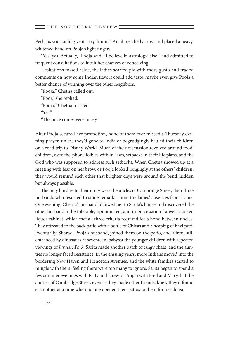Perhaps you could give it a try, hmm?" Anjali reached across and placed a heavy, whitened hand on Pooja's light fingers.

"Yes, yes. Actually," Pooja said, "I believe in astrology, also," and admitted to frequent consultations to intuit her chances of conceiving.

Hesitations tossed aside, the ladies scarfed pie with more gusto and traded comments on how some Indian flavors could add taste, maybe even give Pooja a better chance of winning over the other neighbors.

"Pooja," Chetna called out.

"Pooj," she replied.

"Pooja," Chetna insisted.

"Yes."

"The juice comes very nicely."

After Pooja secured her promotion, none of them ever missed a Thursday evening prayer, unless they'd gone to India or begrudgingly hauled their children on a road trip to Disney World. Much of their discussion revolved around food, children, over-the-phone foibles with in-laws, setbacks in their life plans, and the God who was supposed to address such setbacks. When Chetna showed up at a meeting with fear on her brow, or Pooja looked longingly at the others' children, they would remind each other that brighter days were around the bend, hidden but always possible.

The only hurdles to their unity were the uncles of Cambridge Street, their three husbands who resorted to snide remarks about the ladies' absences from home. One evening, Chetna's husband followed her to Sarita's house and discovered the other husband to be tolerable, opinionated, and in possession of a well-stocked liquor cabinet, which met all three criteria required for a bond between uncles. They retreated to the back patio with a bottle of Chivas and a heaping of bhel puri. Eventually, Sharad, Pooja's husband, joined them on the patio, and Viren, still entranced by dinosaurs at seventeen, babysat the younger children with repeated viewings of *Jurassic Park*. Sarita made another batch of tangy chaat, and the aunties no longer faced resistance. In the ensuing years, more Indians moved into the bordering New Haven and Princeton Avenues, and the white families started to mingle with them, feeling there were too many to ignore. Sarita began to spend a few summer evenings with Patty and Drew, or Anjali with Fred and Mary, but the aunties of Cambridge Street, even as they made other friends, knew they'd found each other at a time when no one opened their patios to them for peach tea.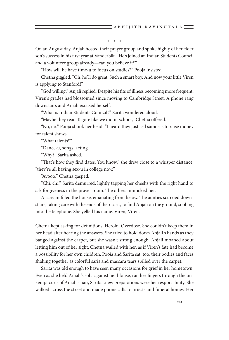\* \* \*

On an August day, Anjali hosted their prayer group and spoke highly of her elder son's success in his first year at Vanderbilt. "He's joined an Indian Students Council and a volunteer group already—can you believe it?"

"How will he have time-u to focus on studies?" Pooja insisted.

Chetna giggled. "Oh, he'll do great. Such a smart boy. And now your little Viren is applying to Stanford!"

"God willing," Anjali replied. Despite his fits of illness becoming more frequent, Viren's grades had blossomed since moving to Cambridge Street. A phone rang downstairs and Anjali excused herself.

"What is Indian Students Council?" Sarita wondered aloud.

"Maybe they read Tagore like we did in school," Chetna offered.

"No, no." Pooja shook her head. "I heard they just sell samosas to raise money for talent shows."

"What talents?"

"Dance-u, songs, acting."

"Why?" Sarita asked.

"That's how they find dates. You know," she drew close to a whisper distance, "they're all having sex-u in college now."

"Ayooo," Chetna gasped.

"Chi, chi," Sarita demurred, lightly tapping her cheeks with the right hand to ask forgiveness in the prayer room. The others mimicked her.

A scream filled the house, emanating from below. The aunties scurried downstairs, taking care with the ends of their saris, to find Anjali on the ground, sobbing into the telephone. She yelled his name. Viren, Viren.

Chetna kept asking for definitions. Heroin. Overdose. She couldn't keep them in her head after hearing the answers. She tried to hold down Anjali's hands as they banged against the carpet, but she wasn't strong enough. Anjali moaned about letting him out of her sight. Chetna wailed with her, as if Viren's fate had become a possibility for her own children. Pooja and Sarita sat, too, their bodies and faces shaking together as colorful saris and mascara tears spilled over the carpet.

Sarita was old enough to have seen many occasions for grief in her hometown. Even as she held Anjali's sobs against her blouse, ran her fingers through the unkempt curls of Anjali's hair, Sarita knew preparations were her responsibility. She walked across the street and made phone calls to priests and funeral homes. Her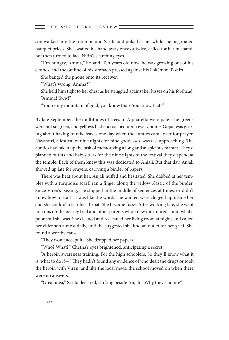son walked into the room behind Sarita and poked at her while she negotiated banquet prices. She swatted his hand away once or twice, called for her husband, but then turned to face Nitin's searching eyes.

"I'm hungry, Amma," he said. Ten years old now, he was growing out of his clothes, and the outline of his stomach pressed against his Pokémon T-shirt.

She banged the phone onto its receiver.

"What's wrong, Amma?"

She held him tight to her chest as he struggled against her kisses on his forehead. "Amma! Eww!"

"You're my mountain of gold, you know that? You know that?"

By late September, the multitudes of trees in Alpharetta were pale. The greens were not so green, and yellows had encroached upon every home. Gopal was griping about having to rake leaves one day when the aunties came over for prayer. Navaratri, a festival of nine nights for nine goddesses, was fast approaching. The aunties had taken up the task of memorizing a long and auspicious mantra. They'd planned outfits and babysitters for the nine nights of the festival they'd spend at the temple. Each of them knew this was dedicated to Anjali. But that day, Anjali showed up late for prayers, carrying a binder of papers.

There was heat about her. Anjali huffed and hesitated. She dabbed at her temples with a turquoise scarf, ran a finger along the yellow plastic of the binder. Since Viren's passing, she stopped in the middle of sentences at times, or didn't know how to start. It was like the words she wanted were clogged up inside her and she couldn't clear her throat. She became fussy. After working late, she went for runs on the nearby trail and other parents who knew murmured about what a poor soul she was. She cleaned and recleaned her living room at nights and called her elder son almost daily, until he suggested she find an outlet for her grief. She found a worthy cause.

"They won't accept it." She dropped her papers.

"Who? What?" Chetna's eyes brightened, anticipating a secret.

"A heroin awareness training. For the high schoolers. So they'll know what it is, what to do if—" They hadn't found any evidence of who dealt the drugs or took the heroin with Viren, and like the local news, the school moved on when there were no answers.

"Great idea," Sarita declared, shifting beside Anjali. "Why they said no?"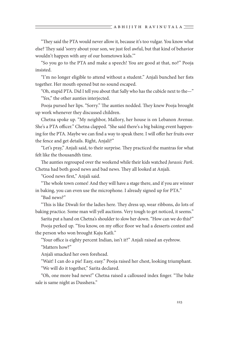"They said the PTA would never allow it, because it's too vulgar. You know what else? They said 'sorry about your son, we just feel awful, but that kind of behavior wouldn't happen with any of our hometown kids.'"

"So you go to the PTA and make a speech! You are good at that, no?" Pooja insisted.

"I'm no longer eligible to attend without a student." Anjali bunched her fists together. Her mouth opened but no sound escaped.

"Oh, stupid PTA. Did I tell you about that Sally who has the cubicle next to the—" "Yes," the other aunties interjected.

Pooja pursed her lips. "Sorry." The aunties nodded. They knew Pooja brought up work whenever they discussed children.

Chetna spoke up. "My neighbor, Mallory, her house is on Lebanon Avenue. She's a PTA officer." Chetna clapped. "She said there's a big baking event happening for the PTA. Maybe we can find a way to speak there. I will offer her fruits over the fence and get details. Right, Anjali?"

"Let's pray," Anjali said, to their surprise. They practiced the mantras for what felt like the thousandth time.

The aunties regrouped over the weekend while their kids watched *Jurassic Park*. Chetna had both good news and bad news. They all looked at Anjali.

"Good news first," Anjali said.

"The whole town comes! And they will have a stage there, and if you are winner in baking, you can even use the microphone. I already signed up for PTA."

"Bad news?"

"This is like Diwali for the ladies here. They dress up, wear ribbons, do lots of baking practice. Some man will yell auctions. Very tough to get noticed, it seems."

Sarita put a hand on Chetna's shoulder to slow her down. "How can we do this?"

Pooja perked up. "You know, on my office floor we had a desserts contest and the person who won brought Kaju Katli."

"Your office is eighty percent Indian, isn't it?" Anjali raised an eyebrow.

"Matters how?"

Anjali smacked her own forehead.

"Wait! I can do a pie! Easy, easy." Pooja raised her chest, looking triumphant. "We will do it together," Sarita declared.

"Oh, one more bad news!" Chetna raised a calloused index finger. "The bake sale is same night as Dusshera."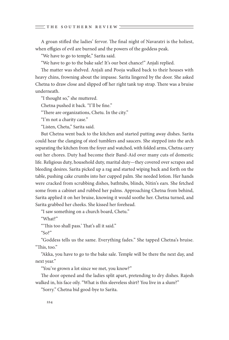A groan stifled the ladies' fervor. The final night of Navaratri is the holiest, when effigies of evil are burned and the powers of the goddess peak.

"We have to go to temple," Sarita said.

"We have to go to the bake sale! It's our best chance!" Anjali replied.

The matter was shelved. Anjali and Pooja walked back to their houses with heavy chins, frowning about the impasse. Sarita lingered by the door. She asked Chetna to draw close and slipped off her right tank top strap. There was a bruise underneath.

"I thought so," she muttered.

Chetna pushed it back. "I'll be fine."

"There are organizations, Chetu. In the city."

"I'm not a charity case."

"Listen, Chetu," Sarita said.

But Chetna went back to the kitchen and started putting away dishes. Sarita could hear the clanging of steel tumblers and saucers. She stepped into the arch separating the kitchen from the foyer and watched, with folded arms, Chetna carry out her chores. Duty had become their Band-Aid over many cuts of domestic life. Religious duty, household duty, marital duty—they covered over scrapes and bleeding desires. Sarita picked up a rag and started wiping back and forth on the table, pushing cake crumbs into her cupped palm. She needed lotion. Her hands were cracked from scrubbing dishes, bathtubs, blinds, Nitin's ears. She fetched some from a cabinet and rubbed her palms. Approaching Chetna from behind, Sarita applied it on her bruise, knowing it would soothe her. Chetna turned, and Sarita grabbed her cheeks. She kissed her forehead.

"I saw something on a church board, Chetu."

"What?"

"'This too shall pass.' That's all it said."

"So?"

"Goddess tells us the same. Everything fades." She tapped Chetna's bruise. "This, too."

"Akka, you have to go to the bake sale. Temple will be there the next day, and next year."

"You've grown a lot since we met, you know?"

The door opened and the ladies split apart, pretending to dry dishes. Rajesh walked in, his face oily. "What is this sleeveless shirt? You live in a slum?"

"Sorry." Chetna bid good-bye to Sarita.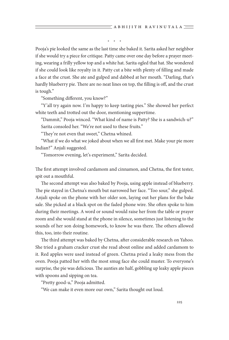\* \* \*

Pooja's pie looked the same as the last time she baked it. Sarita asked her neighbor if she would try a piece for critique. Patty came over one day before a prayer meeting, wearing a frilly yellow top and a white hat. Sarita ogled that hat. She wondered if she could look like royalty in it. Patty cut a bite with plenty of filling and made a face at the crust. She ate and gulped and dabbed at her mouth. "Darling, that's hardly blueberry pie. There are no neat lines on top, the filling is off, and the crust is tough."

"Something different, you know?"

"Y'all try again now. I'm happy to keep tasting pies." She showed her perfect white teeth and trotted out the door, mentioning suppertime.

"Dammit," Pooja winced. "What kind of name is Patty? She is a sandwich-u?" Sarita consoled her. "We're not used to these fruits."

"They're not even that sweet," Chetna whined.

"What if we do what we joked about when we all first met. Make your pie more Indian?" Anjali suggested.

"Tomorrow evening, let's experiment," Sarita decided.

The first attempt involved cardamom and cinnamon, and Chetna, the first tester, spit out a mouthful.

The second attempt was also baked by Pooja, using apple instead of blueberry. The pie stayed in Chetna's mouth but narrowed her face. "Too sour," she gulped. Anjali spoke on the phone with her older son, laying out her plans for the bake sale. She picked at a black spot on the faded phone wire. She often spoke to him during their meetings. A word or sound would raise her from the table or prayer room and she would stand at the phone in silence, sometimes just listening to the sounds of her son doing homework, to know he was there. The others allowed this, too, into their routine.

The third attempt was baked by Chetna, after considerable research on Yahoo. She tried a graham cracker crust she read about online and added cardamom to it. Red apples were used instead of green. Chetna pried a leaky mess from the oven. Pooja patted her with the most smug face she could muster. To everyone's surprise, the pie was delicious. The aunties ate half, gobbling up leaky apple pieces with spoons and sipping on tea.

"Pretty good-u," Pooja admitted.

"We can make it even more our own," Sarita thought out loud.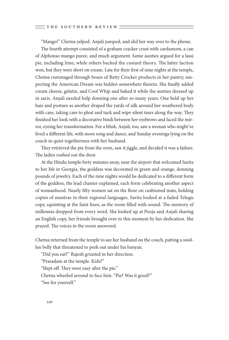"Mango!" Chetna yelped. Anjali jumped, and slid her way over to the phone.

The fourth attempt consisted of a graham cracker crust with cardamom, a can of Alphonso mango puree, and much argument. Some aunties argued for a lassi pie, including lime, while others backed the custard theory. The latter faction won, but they were short on cream. Late for their first of nine nights at the temple, Chetna rummaged through boxes of Betty Crocker products in her pantry, suspecting the American Dream was hidden somewhere therein. She finally added cream cheese, gelatin, and Cool Whip and baked it while the aunties dressed up in saris. Anjali needed help donning one after so many years. One held up her hair and posture as another draped the yards of silk around her weathered body with care, taking care to pleat and tuck and wipe silent tears along the way. They finished her look with a decorative bindi between her eyebrows and faced the mirror, eyeing her transformation. For a blink, Anjali, too, saw a woman who might've lived a different life, with more song and dance, and Sunday evenings lying on the couch in quiet togetherness with her husband.

They retrieved the pie from the oven, saw it jiggle, and decided it was a failure. The ladies rushed out the door.

At the Hindu temple forty minutes away, near the airport that welcomed Sarita to her life in Georgia, the goddess was decorated in green and orange, donning pounds of jewelry. Each of the nine nights would be dedicated to a different form of the goddess, the lead chanter explained, each form celebrating another aspect of womanhood. Nearly fifty women sat on the floor on cushioned mats, holding copies of mantras in their regional languages. Sarita looked at a faded Telugu copy, squinting at the faint lines, as the room filled with sound. The memory of millennia dropped from every word. She looked up at Pooja and Anjali sharing an English copy, her friends brought over to this moment by her dedication. She prayed. The voices in the room answered.

Chetna returned from the temple to see her husband on the couch, patting a swollen belly that threatened to peek out under his banyan.

"Did you eat?" Rajesh grunted in her direction.

"Prasadam at the temple. Kids?"

"Slept off. They were easy after the pie."

Chetna wheeled around to face him. "Pie? Was it good?"

"See for yourself."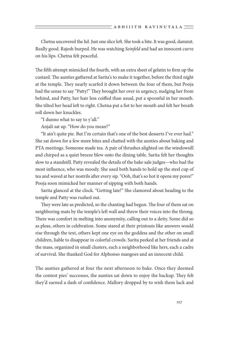Chetna uncovered the lid. Just one slice left. She took a bite. It was good, dammit. Really good. Rajesh burped. He was watching *Seinfeld* and had an innocent curve on his lips. Chetna felt peaceful.

The fifth attempt mimicked the fourth, with an extra sheet of gelatin to firm up the custard. The aunties gathered at Sarita's to make it together, before the third night at the temple. They nearly scarfed it down between the four of them, but Pooja had the sense to say "Patty!" They brought her over in urgency, nudging her from behind, and Patty, her hair less coiffed than usual, put a spoonful in her mouth. She tilted her head left to right. Chetna put a fist to her mouth and felt her breath roll down her knuckles.

"I dunno what to say to y'all."

Anjali sat up. "How do you mean?"

"It ain't quite pie. But I'm certain that's one of the best desserts I've ever had." She sat down for a few more bites and chatted with the aunties about baking and PTA meetings. Someone made tea. A pair of thrushes alighted on the windowsill and chirped as a quiet breeze blew onto the dining table. Sarita felt her thoughts slow to a standstill. Patty revealed the details of the bake sale judges—who had the most influence, who was moody. She used both hands to hold up the steel cup of tea and waved at her nostrils after every sip. "Ooh, that's so hot it opens my pores!" Pooja soon mimicked her manner of sipping with both hands.

Sarita glanced at the clock. "Getting late!" She clamored about heading to the temple and Patty was rushed out.

They were late as predicted, so the chanting had begun. The four of them sat on neighboring mats by the temple's left wall and threw their voices into the throng. There was comfort in melting into anonymity, calling out to a deity. Some did so as pleas, others in celebration. Some stared at their printouts like answers would rise through the text, others kept one eye on the goddess and the other on small children, liable to disappear in colorful crowds. Sarita peeked at her friends and at the mass, organized in small clusters, each a neighborhood like hers, each a cadre of survival. She thanked God for Alphonso mangoes and an innocent child.

The aunties gathered at four the next afternoon to bake. Once they deemed the contest pies' successes, the aunties sat down to enjoy the backup. They felt they'd earned a dash of confidence. Mallory dropped by to wish them luck and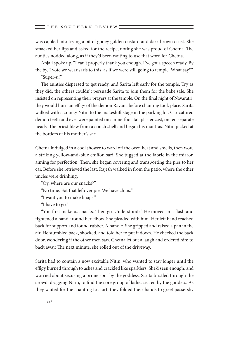was cajoled into trying a bit of gooey golden custard and dark brown crust. She smacked her lips and asked for the recipe, noting she was proud of Chetna. The aunties nodded along, as if they'd been waiting to use that word for Chetna.

Anjali spoke up. "I can't properly thank you enough. I've got a speech ready. By the by, I vote we wear saris to this, as if we were still going to temple. What say?" "Super-u!"

The aunties dispersed to get ready, and Sarita left early for the temple. Try as they did, the others couldn't persuade Sarita to join them for the bake sale. She insisted on representing their prayers at the temple. On the final night of Navaratri, they would burn an effigy of the demon Ravana before chanting took place. Sarita walked with a cranky Nitin to the makeshift stage in the parking lot. Caricatured demon teeth and eyes were painted on a nine-foot-tall plaster cast, on ten separate heads. The priest blew from a conch shell and began his mantras. Nitin picked at the borders of his mother's sari.

Chetna indulged in a cool shower to ward off the oven heat and smells, then wore a striking yellow-and-blue chiffon sari. She tugged at the fabric in the mirror, aiming for perfection. Then, she began covering and transporting the pies to her car. Before she retrieved the last, Rajesh walked in from the patio, where the other uncles were drinking.

"Oy, where are our snacks?"

"No time. Eat that leftover pie. We have chips."

"I want you to make bhajis."

"I have to go."

"You first make us snacks. Then go. Understood?" He moved in a flash and tightened a hand around her elbow. She pleaded with him. Her left hand reached back for support and found rubber. A handle. She gripped and raised a pan in the air. He stumbled back, shocked, and told her to put it down. He checked the back door, wondering if the other men saw. Chetna let out a laugh and ordered him to back away. The next minute, she rolled out of the driveway.

Sarita had to contain a now excitable Nitin, who wanted to stay longer until the effigy burned through to ashes and crackled like sparklers. She'd seen enough, and worried about securing a prime spot by the goddess. Sarita bristled through the crowd, dragging Nitin, to find the core group of ladies seated by the goddess. As they waited for the chanting to start, they folded their hands to greet passersby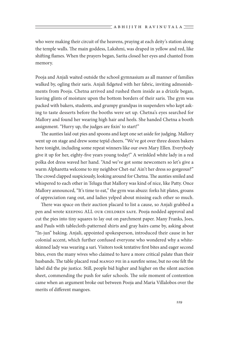who were making their circuit of the heavens, praying at each deity's station along the temple walls. The main goddess, Lakshmi, was draped in yellow and red, like shifting flames. When the prayers began, Sarita closed her eyes and chanted from memory.

Pooja and Anjali waited outside the school gymnasium as all manner of families walked by, ogling their saris. Anjali fidgeted with her fabric, inviting admonishments from Pooja. Chetna arrived and rushed them inside as a drizzle began, leaving glints of moisture upon the bottom borders of their saris. The gym was packed with bakers, students, and grumpy grandpas in suspenders who kept asking to taste desserts before the booths were set up. Chetna's eyes searched for Mallory and found her wearing high hair and heels. She handed Chetna a booth assignment. "Hurry up, the judges are fixin' to start!"

The aunties laid out pies and spoons and kept one set aside for judging. Mallory went up on stage and drew some tepid cheers. "We've got over three dozen bakers here tonight, including some repeat winners like our own Mary Ellen. Everybody give it up for her, eighty-five years young today!" A wrinkled white lady in a red polka dot dress waved her hand. "And we've got some newcomers so let's give a warm Alpharetta welcome to my neighbor Chet-na! Ain't her dress so gorgeous?" The crowd clapped suspiciously, looking around for Chetna. The aunties smiled and whispered to each other in Telugu that Mallory was kind of nice, like Patty. Once Mallory announced, "It's time to eat," the gym was abuzz: forks hit plates, groans of appreciation rang out, and ladies yelped about missing each other so much.

There was space on their auction placard to list a cause, so Anjali grabbed a pen and wrote keeping ALL our children safe. Pooja nodded approval and cut the pies into tiny squares to lay out on parchment paper. Many Franks, Joes, and Pauls with tablecloth-patterned shirts and gray hairs came by, asking about "In-jun" baking. Anjali, appointed spokesperson, introduced their cause in her colonial accent, which further confused everyone who wondered why a whiteskinned lady was wearing a sari. Visitors took tentative first bites and eager second bites, even the many wives who claimed to have a more critical palate than their husbands. The table placard read Mango Pie in a surefire sense, but no one felt the label did the pie justice. Still, people bid higher and higher on the silent auction sheet, commending the push for safer schools. The sole moment of contention came when an argument broke out between Pooja and Maria Villalobos over the merits of different mangoes.